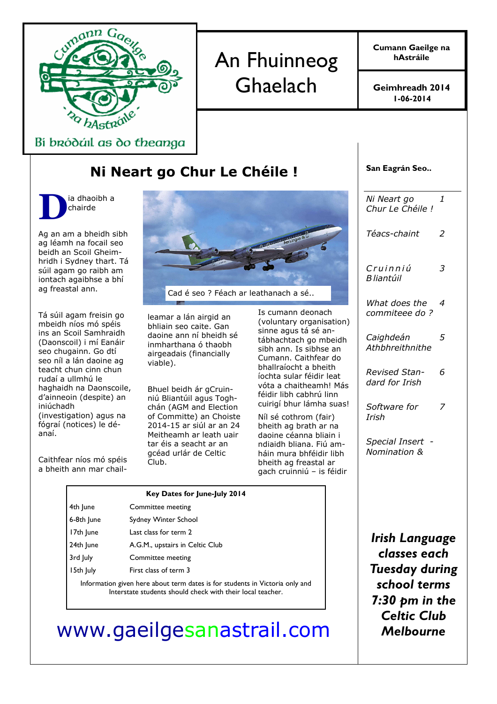

# An Fhuinneog Ghaelach

Cumann Gaeilge na hAstráile

1-06-2014 Geimhreadh 2014

San Eagrán Seo..

Bi bródáil as do theanga

### Ni Neart go Chur Le Chéile !

D ia dhaoibh a chairde

Ag an am a bheidh sibh ag léamh na focail seo beidh an Scoil Gheimhridh i Sydney thart. Tá súil agam go raibh am iontach agaibhse a bhí ag freastal ann.

Tá súil agam freisin go mbeidh níos mó spéis ins an Scoil Samhraidh (Daonscoil) i mí Eanáir seo chugainn. Go dtí seo níl a lán daoine ag teacht chun cinn chun rudaí a ullmhú le haghaidh na Daonscoile, d'ainneoin (despite) an iniúchadh (investigation) agus na fógraí (notices) le déanaí.

Caithfear níos mó spéis a bheith ann mar chail-



Cad é seo ? Féach ar leathanach a sé..

leamar a lán airgid an bhliain seo caite. Gan daoine ann ní bheidh sé inmharthana ó thaobh airgeadais (financially viable).

Bhuel beidh ár gCruinniú Bliantúil agus Toghchán (AGM and Election of Committe) an Choiste 2014-15 ar siúl ar an 24 Meitheamh ar leath uair tar éis a seacht ar an gcéad urlár de Celtic Club.

Is cumann deonach (voluntary organisation) sinne agus tá sé antábhachtach go mbeidh sibh ann. Is sibhse an Cumann. Caithfear do bhallraíocht a bheith íochta sular féidir leat vóta a chaitheamh! Más féidir libh cabhrú linn cuirigí bhur lámha suas!

Níl sé cothrom (fair) bheith ag brath ar na daoine céanna bliain i ndiaidh bliana. Fiú amháin mura bhféidir libh bheith ag freastal ar gach cruinniú – is féidir

| Ni Neart go<br>Chur Le Chéile !        | 1 |
|----------------------------------------|---|
| Téacs-chaint                           | 2 |
| Cruinniú<br>B liantúil                 | 3 |
| What does the<br>commiteee do ?        | 4 |
| Caighdeán<br>Athbhreithnithe           | 5 |
| <b>Revised Stan-</b><br>dard for Irish | 6 |
| Software for<br>Irish                  | 7 |
| Special Insert<br>Nomination &         |   |
|                                        |   |
|                                        |   |

Key Dates for June-July 2014 4th June Committee meeting 6-8th June Sydney Winter School 17th June Last class for term 2 24th June **A.G.M.**, upstairs in Celtic Club 3rd July Committee meeting 15th July First class of term 3 Information given here about term dates is for students in Victoria only and Interstate students should check with their local teacher.

Irish Language classes each Tuesday during school terms  $7:30$  bm in the Celtic Club Melbourne

## www.gaeilgesanastrail.com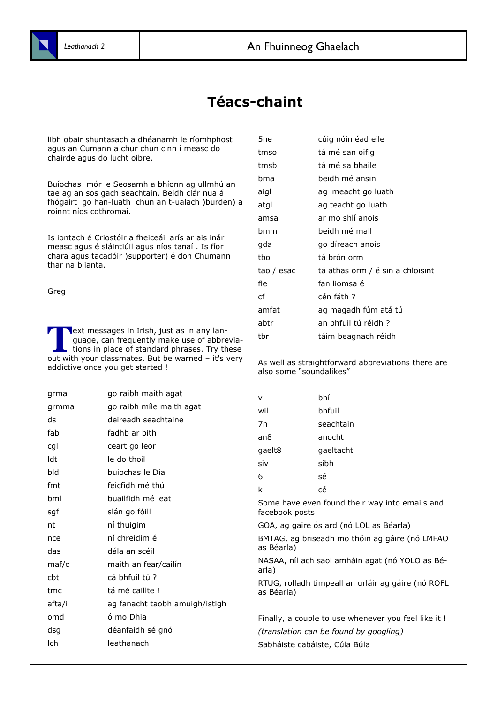### Téacs-chaint

libh obair shuntasach a dhéanamh le ríomhphost agus an Cumann a chur chun cinn i measc do chairde agus do lucht oibre.

Buíochas mór le Seosamh a bhíonn ag ullmhú an tae ag an sos gach seachtain. Beidh clár nua á fhógairt go han-luath chun an t-ualach )burden) a roinnt níos cothromaí.

Is iontach é Criostóir a fheiceáil arís ar ais inár measc agus é sláintiúil agus níos tanaí . Is fíor chara agus tacadóir )supporter) é don Chumann thar na blianta.

Greg

T **Next messages in Irish, just as in any lan**guage, can frequently make use of abbreviations in place of standard phrases. Try these out with your classmates. But be warned – it's very addictive once you get started !

| grma           | go raibh maith agat            | $\mathsf{v}$                                   | bhí                                                  |
|----------------|--------------------------------|------------------------------------------------|------------------------------------------------------|
| grmma          | go raibh míle maith agat       | wil                                            | bhfuil                                               |
| ds             | deireadh seachtaine            | 7n                                             | seachtain                                            |
| fab            | fadhb ar bith                  | an <sub>8</sub>                                | anocht                                               |
| cgl            | ceart go leor                  | gaelt8                                         | gaeltacht                                            |
| ldt            | le do thoil                    | siv                                            | sibh                                                 |
| bld            | buiochas le Dia                | 6                                              | sé                                                   |
| fmt            | feicfidh mé thú                | k                                              | cé                                                   |
| bml            | buailfidh mé leat              |                                                | Some have even found their way into emails and       |
| sgf            | slán go fóill                  | facebook posts                                 |                                                      |
| nt             | ní thuigim                     |                                                | GOA, ag gaire ós ard (nó LOL as Béarla)              |
| nce            | ní chreidim é                  | BMTAG, ag briseadh mo thóin ag gáire (nó LMFAO |                                                      |
| das            | dála an scéil                  | as Béarla)                                     |                                                      |
| $\text{maf/c}$ | maith an fear/cailín           | arla)                                          | NASAA, níl ach saol amháin agat (nó YOLO as Bé-      |
| cbt            | cá bhfuil tú ?                 |                                                | RTUG, rolladh timpeall an urláir ag gáire (nó ROFL   |
| tmc            | tá mé caillte !                | as Béarla)                                     |                                                      |
| afta/i         | ag fanacht taobh amuigh/istigh |                                                |                                                      |
| omd            | ó mo Dhia                      |                                                | Finally, a couple to use whenever you feel like it ! |
| dsg            | déanfaidh sé gnó               |                                                | (translation can be found by googling)               |
| lch            | leathanach                     |                                                | Sabháiste cabáiste, Cúla Búla                        |

| 5ne        | cúig nóiméad eile                |
|------------|----------------------------------|
| tmso       | tá mé san oifig                  |
| tmsb       | tá mé sa bhaile                  |
| bma        | beidh mé ansin                   |
| aigl       | ag imeacht go luath              |
| atgl       | ag teacht go luath               |
| amsa       | ar mo shlí anois                 |
| bmm        | beidh mé mall                    |
| gda        | go díreach anois                 |
| tbo        | tá brón orm                      |
| tao / esac | tá áthas orm / é sin a chloisint |
| fle        | fan liomsa é                     |
| cf         | cén fáth ?                       |
| amfat      | ag magadh fúm atá tú             |
| abtr       | an bhfuil tú réidh?              |
| tbr        | táim beagnach réidh              |
|            |                                  |

As well as straightforward abbreviations there are also some "soundalikes"

| V      | bhí       |
|--------|-----------|
| wil    | bhfuil    |
| 7n     | seachtain |
| an8    | anocht    |
| gaelt8 | gaeltacht |
| siv    | sibh      |
| 6      | sé        |
|        |           |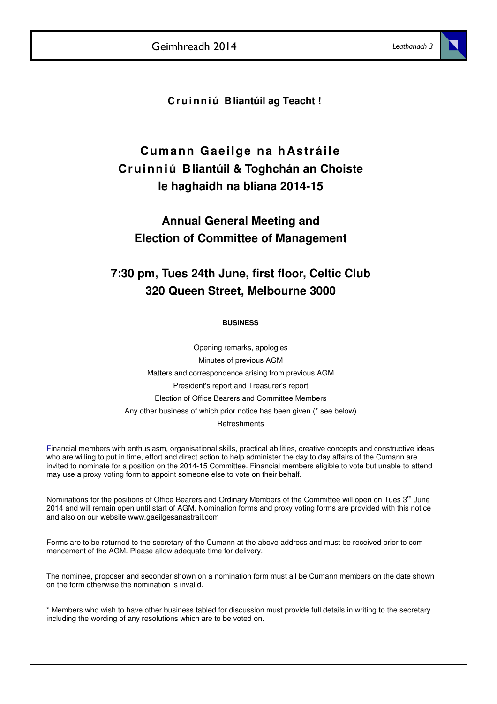**Cr u i n n i ú Bliantúil ag Teacht !**

### **Cumann Gaeilge na hAstráile Cruinniú Bliantúil & Toghchán an Choiste le haghaidh na bliana 2014-15**

### **Annual General Meeting and Election of Committee of Management**

### **7:30 pm, Tues 24th June, first floor, Celtic Club 320 Queen Street, Melbourne 3000**

### **BUSINESS**

Opening remarks, apologies Minutes of previous AGM Matters and correspondence arising from previous AGM President's report and Treasurer's report Election of Office Bearers and Committee Members Any other business of which prior notice has been given (\* see below)

### **Refreshments**

Financial members with enthusiasm, organisational skills, practical abilities, creative concepts and constructive ideas who are willing to put in time, effort and direct action to help administer the day to day affairs of the Cumann are invited to nominate for a position on the 2014-15 Committee. Financial members eligible to vote but unable to attend may use a proxy voting form to appoint someone else to vote on their behalf.

Nominations for the positions of Office Bearers and Ordinary Members of the Committee will open on Tues 3<sup>rd</sup> June 2014 and will remain open until start of AGM. Nomination forms and proxy voting forms are provided with this notice and also on our website www.gaeilgesanastrail.com

Forms are to be returned to the secretary of the Cumann at the above address and must be received prior to commencement of the AGM. Please allow adequate time for delivery.

The nominee, proposer and seconder shown on a nomination form must all be Cumann members on the date shown on the form otherwise the nomination is invalid.

\* Members who wish to have other business tabled for discussion must provide full details in writing to the secretary including the wording of any resolutions which are to be voted on.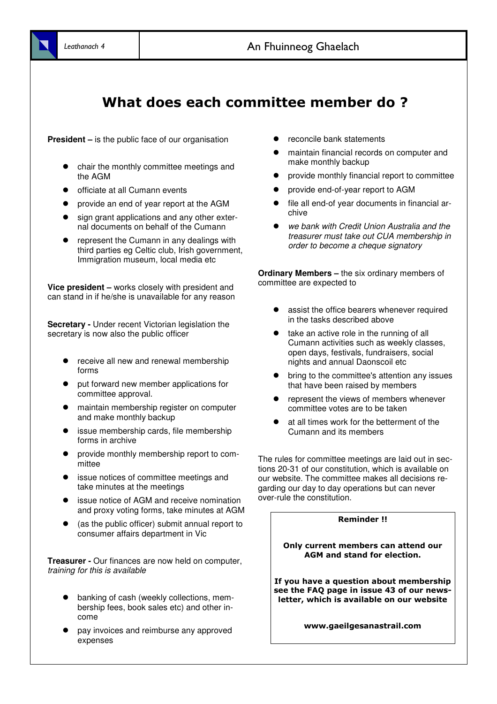## What does each committee member do ?

**President –** is the public face of our organisation

- chair the monthly committee meetings and the AGM
- officiate at all Cumann events
- provide an end of year report at the AGM
- sign grant applications and any other external documents on behalf of the Cumann
- represent the Cumann in any dealings with third parties eg Celtic club, Irish government, Immigration museum, local media etc

**Vice president –** works closely with president and can stand in if he/she is unavailable for any reason

**Secretary -** Under recent Victorian legislation the secretary is now also the public officer

- receive all new and renewal membership forms
- put forward new member applications for committee approval.
- maintain membership register on computer and make monthly backup
- issue membership cards, file membership forms in archive
- provide monthly membership report to committee
- issue notices of committee meetings and take minutes at the meetings
- issue notice of AGM and receive nomination and proxy voting forms, take minutes at AGM
- (as the public officer) submit annual report to consumer affairs department in Vic

**Treasurer -** Our finances are now held on computer, training for this is available

- banking of cash (weekly collections, membership fees, book sales etc) and other income
- pay invoices and reimburse any approved expenses
- reconcile bank statements
- maintain financial records on computer and make monthly backup
- provide monthly financial report to committee
- provide end-of-year report to AGM
- file all end-of year documents in financial archive
- we bank with Credit Union Australia and the treasurer must take out CUA membership in order to become a cheque signatory

**Ordinary Members –** the six ordinary members of committee are expected to

- assist the office bearers whenever required in the tasks described above
- take an active role in the running of all Cumann activities such as weekly classes, open days, festivals, fundraisers, social nights and annual Daonscoil etc
- bring to the committee's attention any issues that have been raised by members
- represent the views of members whenever committee votes are to be taken
- at all times work for the betterment of the Cumann and its members

The rules for committee meetings are laid out in sections 20-31 of our constitution, which is available on our website. The committee makes all decisions regarding our day to day operations but can never over-rule the constitution.

### Reminder !!

### Only current members can attend our AGM and stand for election.

If you have a question about membership see the FAQ page in issue 43 of our newsletter, which is available on our website

www.gaeilgesanastrail.com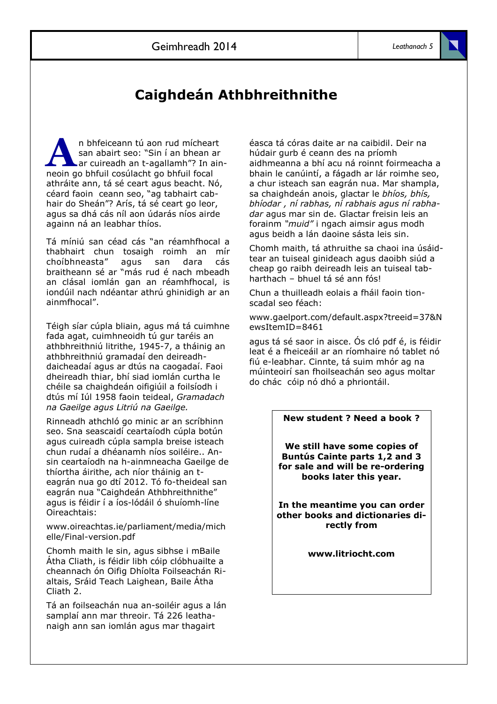## Caighdeán Athbhreithnithe

A n bhfeiceann tú aon rud mícheart san abairt seo: "Sin í an bhean ar ar cuireadh an t-agallamh"? In ainneoin go bhfuil cosúlacht go bhfuil focal athráite ann, tá sé ceart agus beacht. Nó, céard faoin ceann seo, "ag tabhairt cabhair do Sheán"? Arís, tá sé ceart go leor, agus sa dhá cás níl aon údarás níos airde againn ná an leabhar thíos.

Tá míniú san céad cás "an réamhfhocal a thabhairt chun tosaigh roimh an mír choíbhneasta" agus san dara cás braitheann sé ar "más rud é nach mbeadh an clásal iomlán gan an réamhfhocal, is iondúil nach ndéantar athrú ghinidigh ar an ainmfhocal".

Téigh síar cúpla bliain, agus má tá cuimhne fada agat, cuimhneoidh tú gur taréis an athbhreithniú litrithe, 1945-7, a tháinig an athbhreithniú gramadaí den deireadhdaicheadaí agus ar dtús na caogadaí. Faoi dheireadh thiar, bhí siad iomlán curtha le chéile sa chaighdeán oifigiúil a foilsíodh i dtús mí Iúl 1958 faoin teideal, Gramadach na Gaeilge agus Litriú na Gaeilge.

Rinneadh athchló go minic ar an scríbhinn seo. Sna seascaidí ceartaíodh cúpla botún agus cuireadh cúpla sampla breise isteach chun rudaí a dhéanamh níos soiléire.. Ansin ceartaíodh na h-ainmneacha Gaeilge de thíortha áirithe, ach níor tháinig an teagrán nua go dtí 2012. Tó fo-theideal san eagrán nua "Caighdeán Athbhreithnithe" agus is féidir í a íos-lódáil ó shuíomh-líne Oireachtais:

www.oireachtas.ie/parliament/media/mich elle/Final-version.pdf

Chomh maith le sin, agus sibhse i mBaile Átha Cliath, is féidir libh cóip clóbhuailte a cheannach ón Oifig Dhíolta Foilseachán Rialtais, Sráid Teach Laighean, Baile Átha Cliath 2.

Tá an foilseachán nua an-soiléir agus a lán samplaí ann mar threoir. Tá 226 leathanaigh ann san iomlán agus mar thagairt

éasca tá córas daite ar na caibidil. Deir na húdair gurb é ceann des na príomh aidhmeanna a bhí acu ná roinnt foirmeacha a bhain le canúintí, a fágadh ar lár roimhe seo, a chur isteach san eagrán nua. Mar shampla, sa chaighdeán anois, glactar le bhíos, bhís, bhíodar , ní rabhas, ní rabhais agus ní rabhadar agus mar sin de. Glactar freisin leis an forainm "muid" i ngach aimsir agus modh agus beidh a lán daoine sásta leis sin.

Chomh maith, tá athruithe sa chaoi ina úsáidtear an tuiseal ginideach agus daoibh siúd a cheap go raibh deireadh leis an tuiseal tabharthach – bhuel tá sé ann fós!

Chun a thuilleadh eolais a fháil faoin tionscadal seo féach:

www.gaelport.com/default.aspx?treeid=37&N ewsItemID=8461

agus tá sé saor in aisce. Ós cló pdf é, is féidir leat é a fheiceáil ar an ríomhaire nó tablet nó fiú e-leabhar. Cinnte, tá suim mhór ag na múinteoirí san fhoilseachán seo agus moltar do chác cóip nó dhó a phriontáil.

### New student ? Need a book ?

We still have some copies of Buntús Cainte parts 1,2 and 3 for sale and will be re-ordering books later this year.

In the meantime you can order other books and dictionaries directly from

www.litriocht.com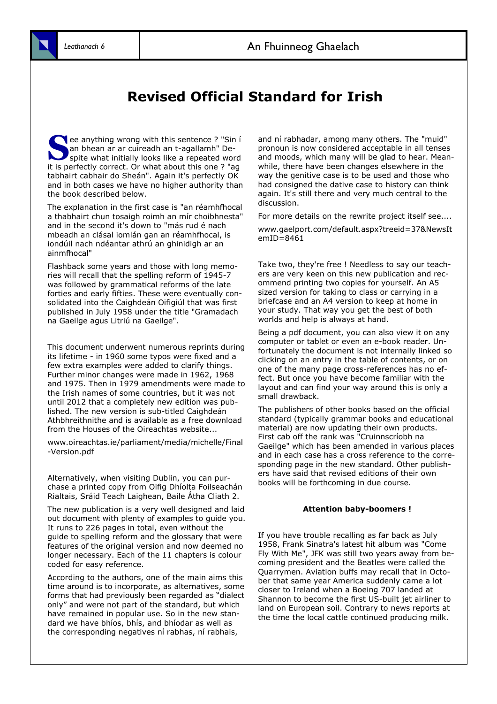### Revised Official Standard for Irish

S ee anything wrong with this sentence ? "Sin i an bhean ar ar cuireadh an t-agallamh" Despite what initially looks like a repeated word it is perfectly correct. Or what about this one ? "ag tabhairt cabhair do Sheán". Again it's perfectly OK and in both cases we have no higher authority than the book described below.

The explanation in the first case is "an réamhfhocal a thabhairt chun tosaigh roimh an mír choibhnesta" and in the second it's down to "más rud é nach mbeadh an clásal iomlán gan an réamhfhocal, is iondúil nach ndéantar athrú an ghinidigh ar an ainmfhocal"

Flashback some years and those with long memories will recall that the spelling reform of 1945-7 was followed by grammatical reforms of the late forties and early fifties. These were eventually consolidated into the Caighdeán Oifigiúl that was first published in July 1958 under the title "Gramadach na Gaeilge agus Litriú na Gaeilge".

This document underwent numerous reprints during its lifetime - in 1960 some typos were fixed and a few extra examples were added to clarify things. Further minor changes were made in 1962, 1968 and 1975. Then in 1979 amendments were made to the Irish names of some countries, but it was not until 2012 that a completely new edition was published. The new version is sub-titled Caighdeán Athbhreithnithe and is available as a free download from the Houses of the Oireachtas website...

www.oireachtas.ie/parliament/media/michelle/Final -Version.pdf

Alternatively, when visiting Dublin, you can purchase a printed copy from Oifig Dhíolta Foilseachán Rialtais, Sráid Teach Laighean, Baile Átha Cliath 2.

The new publication is a very well designed and laid out document with plenty of examples to guide you. It runs to 226 pages in total, even without the guide to spelling reform and the glossary that were features of the original version and now deemed no longer necessary. Each of the 11 chapters is colour coded for easy reference.

According to the authors, one of the main aims this time around is to incorporate, as alternatives, some forms that had previously been regarded as "dialect only" and were not part of the standard, but which have remained in popular use. So in the new standard we have bhíos, bhís, and bhíodar as well as the corresponding negatives ní rabhas, ní rabhais,

and ní rabhadar, among many others. The "muid" pronoun is now considered acceptable in all tenses and moods, which many will be glad to hear. Meanwhile, there have been changes elsewhere in the way the genitive case is to be used and those who had consigned the dative case to history can think again. It's still there and very much central to the discussion.

For more details on the rewrite project itself see....

www.gaelport.com/default.aspx?treeid=37&NewsIt  $emID = 8461$ 

Take two, they're free ! Needless to say our teachers are very keen on this new publication and recommend printing two copies for yourself. An A5 sized version for taking to class or carrying in a briefcase and an A4 version to keep at home in your study. That way you get the best of both worlds and help is always at hand.

Being a pdf document, you can also view it on any computer or tablet or even an e-book reader. Unfortunately the document is not internally linked so clicking on an entry in the table of contents, or on one of the many page cross-references has no effect. But once you have become familiar with the layout and can find your way around this is only a small drawback.

The publishers of other books based on the official standard (typically grammar books and educational material) are now updating their own products. First cab off the rank was "Cruinnscríobh na Gaeilge" which has been amended in various places and in each case has a cross reference to the corresponding page in the new standard. Other publishers have said that revised editions of their own books will be forthcoming in due course.

#### Attention baby-boomers !

If you have trouble recalling as far back as July 1958, Frank Sinatra's latest hit album was "Come Fly With Me", JFK was still two years away from becoming president and the Beatles were called the Quarrymen. Aviation buffs may recall that in October that same year America suddenly came a lot closer to Ireland when a Boeing 707 landed at Shannon to become the first US-built jet airliner to land on European soil. Contrary to news reports at the time the local cattle continued producing milk.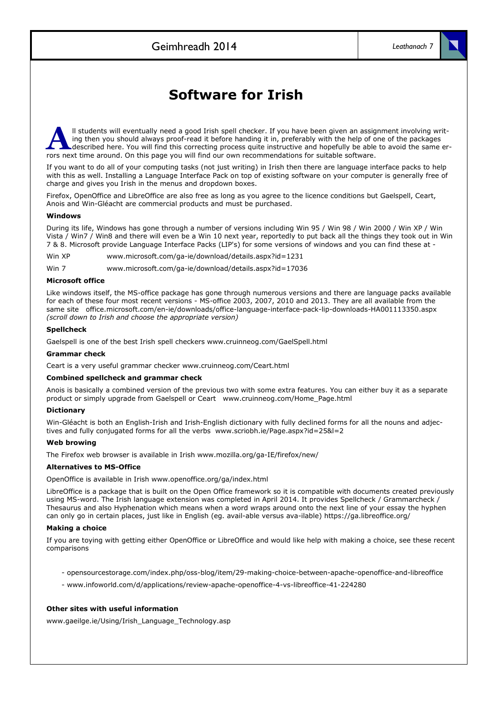### Software for Irish

A ll students will eventually need a good Irish spell checker. If you have been given an assignment involving writing then you should always proof-read it before handing it in, preferably with the help of one of the packages described here. You will find this correcting process quite instructive and hopefully be able to avoid the same errors next time around. On this page you will find our own recommendations for suitable software.

If you want to do all of your computing tasks (not just writing) in Irish then there are language interface packs to help with this as well. Installing a Language Interface Pack on top of existing software on your computer is generally free of charge and gives you Irish in the menus and dropdown boxes.

Firefox, OpenOffice and LibreOffice are also free as long as you agree to the licence conditions but Gaelspell, Ceart, Anois and Win-Gléacht are commercial products and must be purchased.

#### Windows

During its life, Windows has gone through a number of versions including Win 95 / Win 98 / Win 2000 / Win XP / Win Vista / Win7 / Win8 and there will even be a Win 10 next year, reportedly to put back all the things they took out in Win 7 & 8. Microsoft provide Language Interface Packs (LIP's) for some versions of windows and you can find these at -

Win XP www.microsoft.com/ga-ie/download/details.aspx?id=1231

Win 7 www.microsoft.com/ga-ie/download/details.aspx?id=17036

#### Microsoft office

Like windows itself, the MS-office package has gone through numerous versions and there are language packs available for each of these four most recent versions - MS-office 2003, 2007, 2010 and 2013. They are all available from the same site office.microsoft.com/en-ie/downloads/office-language-interface-pack-lip-downloads-HA001113350.aspx (scroll down to Irish and choose the appropriate version)

#### Spellcheck

Gaelspell is one of the best Irish spell checkers www.cruinneog.com/GaelSpell.html

#### Grammar check

Ceart is a very useful grammar checker www.cruinneog.com/Ceart.html

#### Combined spellcheck and grammar check

Anois is basically a combined version of the previous two with some extra features. You can either buy it as a separate product or simply upgrade from Gaelspell or Ceart www.cruinneog.com/Home\_Page.html

#### Dictionary

Win-Gléacht is both an English-Irish and Irish-English dictionary with fully declined forms for all the nouns and adjectives and fully conjugated forms for all the verbs www.scriobh.ie/Page.aspx?id=25&l=2

#### Web browing

The Firefox web browser is available in Irish www.mozilla.org/ga-IE/firefox/new/

#### Alternatives to MS-Office

OpenOffice is available in Irish www.openoffice.org/ga/index.html

LibreOffice is a package that is built on the Open Office framework so it is compatible with documents created previously using MS-word. The Irish language extension was completed in April 2014. It provides Spellcheck / Grammarcheck / Thesaurus and also Hyphenation which means when a word wraps around onto the next line of your essay the hyphen can only go in certain places, just like in English (eg. avail-able versus ava-ilable) https://ga.libreoffice.org/

#### Making a choice

If you are toying with getting either OpenOffice or LibreOffice and would like help with making a choice, see these recent comparisons

- opensourcestorage.com/index.php/oss-blog/item/29-making-choice-between-apache-openoffice-and-libreoffice
- www.infoworld.com/d/applications/review-apache-openoffice-4-vs-libreoffice-41-224280

### Other sites with useful information

www.gaeilge.ie/Using/Irish\_Language\_Technology.asp